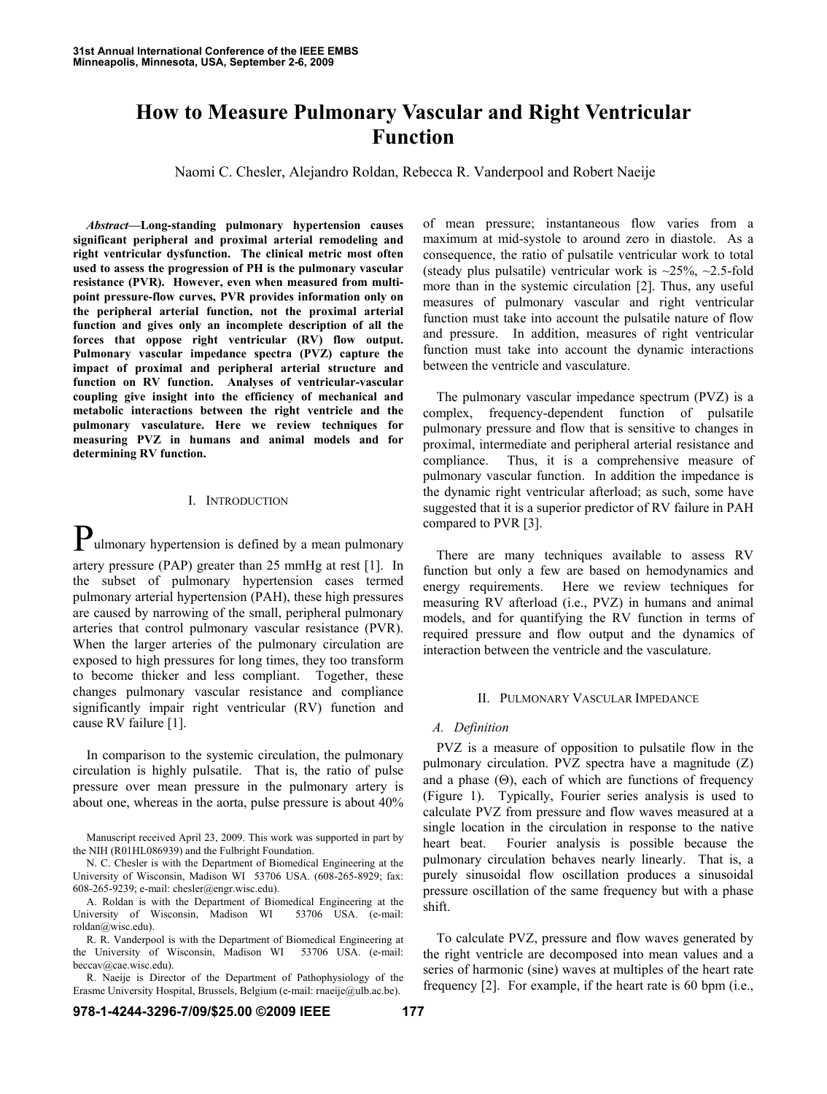# **How to Measure Pulmonary Vascular and Right Ventricular Function**

Naomi C. Chesler, Alejandro Roldan, Rebecca R. Vanderpool and Robert Naeije

*Abstract***—Long-standing pulmonary hypertension causes significant peripheral and proximal arterial remodeling and right ventricular dysfunction. The clinical metric most often used to assess the progression of PH is the pulmonary vascular resistance (PVR). However, even when measured from multipoint pressure-flow curves, PVR provides information only on the peripheral arterial function, not the proximal arterial function and gives only an incomplete description of all the forces that oppose right ventricular (RV) flow output. Pulmonary vascular impedance spectra (PVZ) capture the impact of proximal and peripheral arterial structure and function on RV function. Analyses of ventricular-vascular coupling give insight into the efficiency of mechanical and metabolic interactions between the right ventricle and the pulmonary vasculature. Here we review techniques for measuring PVZ in humans and animal models and for determining RV function.** 

### I. INTRODUCTION

**P**ulmonary hypertension is defined by a mean pulmonary artery pressure (PAP) greater than 25 mmHg at rest [1]. In the subset of pulmonary hypertension cases termed pulmonary arterial hypertension (PAH), these high pressures are caused by narrowing of the small, peripheral pulmonary arteries that control pulmonary vascular resistance (PVR). When the larger arteries of the pulmonary circulation are exposed to high pressures for long times, they too transform to become thicker and less compliant. Together, these changes pulmonary vascular resistance and compliance significantly impair right ventricular (RV) function and cause RV failure [1].

In comparison to the systemic circulation, the pulmonary circulation is highly pulsatile. That is, the ratio of pulse pressure over mean pressure in the pulmonary artery is about one, whereas in the aorta, pulse pressure is about 40%

Manuscript received April 23, 2009. This work was supported in part by the NIH (R01HL086939) and the Fulbright Foundation.

N. C. Chesler is with the Department of Biomedical Engineering at the University of Wisconsin, Madison WI 53706 USA. (608-265-8929; fax: 608-265-9239; e-mail: chesler@engr.wisc.edu).

A. Roldan is with the Department of Biomedical Engineering at the University of Wisconsin, Madison WI 53706 USA. (e-mail: roldan@wisc.edu).

R. R. Vanderpool is with the Department of Biomedical Engineering at the University of Wisconsin, Madison WI 53706 USA. (e-mail: beccav@cae.wisc.edu).

R. Naeije is Director of the Department of Pathophysiology of the Erasme University Hospital, Brussels, Belgium (e-mail: rnaeije@ulb.ac.be).

of mean pressure; instantaneous flow varies from a maximum at mid-systole to around zero in diastole. As a consequence, the ratio of pulsatile ventricular work to total (steady plus pulsatile) ventricular work is  $\approx 25\%$ ,  $\approx 2.5$ -fold more than in the systemic circulation [2]. Thus, any useful measures of pulmonary vascular and right ventricular function must take into account the pulsatile nature of flow and pressure. In addition, measures of right ventricular function must take into account the dynamic interactions between the ventricle and vasculature.

The pulmonary vascular impedance spectrum (PVZ) is a complex, frequency-dependent function of pulsatile pulmonary pressure and flow that is sensitive to changes in proximal, intermediate and peripheral arterial resistance and compliance. Thus, it is a comprehensive measure of pulmonary vascular function. In addition the impedance is the dynamic right ventricular afterload; as such, some have suggested that it is a superior predictor of RV failure in PAH compared to PVR [3].

There are many techniques available to assess RV function but only a few are based on hemodynamics and energy requirements. Here we review techniques for measuring RV afterload (i.e., PVZ) in humans and animal models, and for quantifying the RV function in terms of required pressure and flow output and the dynamics of interaction between the ventricle and the vasculature.

## II. PULMONARY VASCULAR IMPEDANCE

# *A. Definition*

PVZ is a measure of opposition to pulsatile flow in the pulmonary circulation. PVZ spectra have a magnitude (Z) and a phase  $(\Theta)$ , each of which are functions of frequency (Figure 1). Typically, Fourier series analysis is used to calculate PVZ from pressure and flow waves measured at a single location in the circulation in response to the native heart beat. Fourier analysis is possible because the pulmonary circulation behaves nearly linearly. That is, a purely sinusoidal flow oscillation produces a sinusoidal pressure oscillation of the same frequency but with a phase shift.

To calculate PVZ, pressure and flow waves generated by the right ventricle are decomposed into mean values and a series of harmonic (sine) waves at multiples of the heart rate frequency [2]. For example, if the heart rate is 60 bpm (i.e.,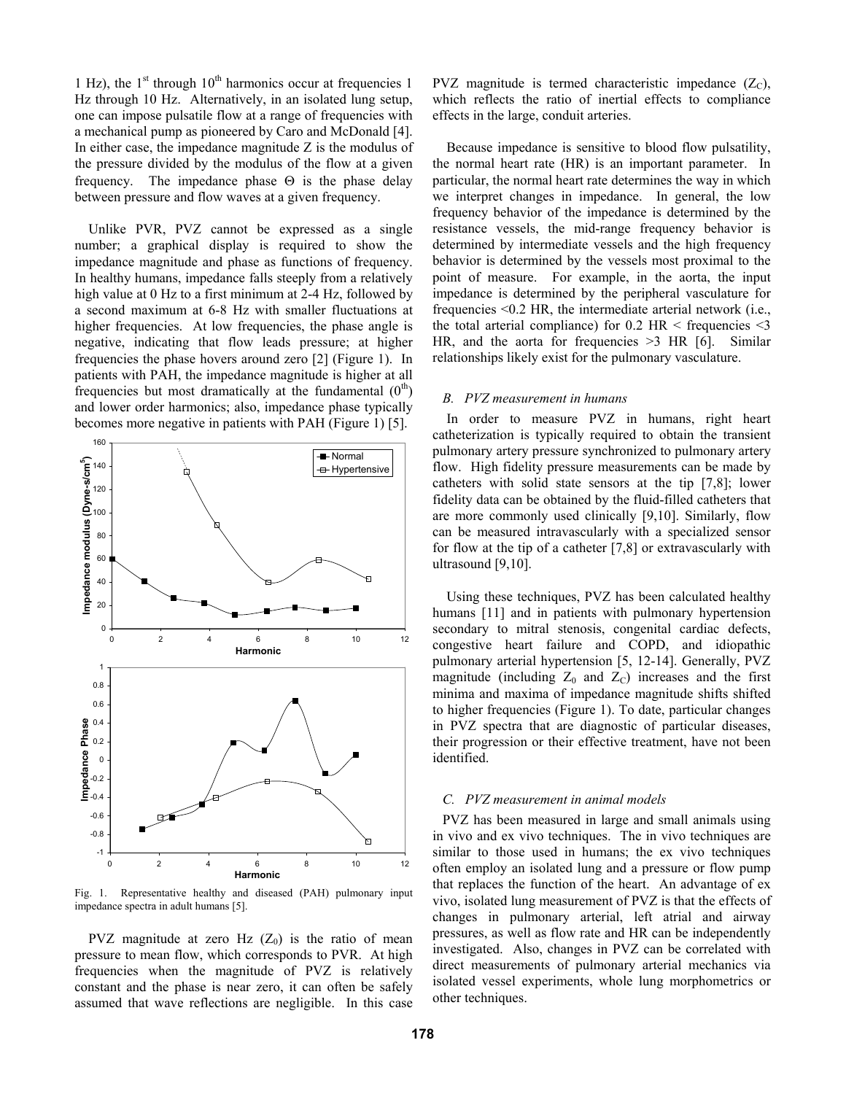1 Hz), the  $1<sup>st</sup>$  through  $10<sup>th</sup>$  harmonics occur at frequencies 1 Hz through 10 Hz. Alternatively, in an isolated lung setup, one can impose pulsatile flow at a range of frequencies with a mechanical pump as pioneered by Caro and McDonald [4]. In either case, the impedance magnitude Z is the modulus of the pressure divided by the modulus of the flow at a given frequency. The impedance phase  $\Theta$  is the phase delay between pressure and flow waves at a given frequency.

Unlike PVR, PVZ cannot be expressed as a single number; a graphical display is required to show the impedance magnitude and phase as functions of frequency. In healthy humans, impedance falls steeply from a relatively high value at 0 Hz to a first minimum at 2-4 Hz, followed by a second maximum at 6-8 Hz with smaller fluctuations at higher frequencies. At low frequencies, the phase angle is negative, indicating that flow leads pressure; at higher frequencies the phase hovers around zero [2] (Figure 1). In patients with PAH, the impedance magnitude is higher at all frequencies but most dramatically at the fundamental  $(0<sup>th</sup>)$ and lower order harmonics; also, impedance phase typically becomes more negative in patients with PAH (Figure 1) [5].



Fig. 1. Representative healthy and diseased (PAH) pulmonary input impedance spectra in adult humans [5].

PVZ magnitude at zero Hz  $(Z_0)$  is the ratio of mean pressure to mean flow, which corresponds to PVR. At high frequencies when the magnitude of PVZ is relatively constant and the phase is near zero, it can often be safely assumed that wave reflections are negligible. In this case PVZ magnitude is termed characteristic impedance  $(Z_C)$ , which reflects the ratio of inertial effects to compliance effects in the large, conduit arteries.

Because impedance is sensitive to blood flow pulsatility, the normal heart rate (HR) is an important parameter. In particular, the normal heart rate determines the way in which we interpret changes in impedance. In general, the low frequency behavior of the impedance is determined by the resistance vessels, the mid-range frequency behavior is determined by intermediate vessels and the high frequency behavior is determined by the vessels most proximal to the point of measure. For example, in the aorta, the input impedance is determined by the peripheral vasculature for frequencies <0.2 HR, the intermediate arterial network (i.e., the total arterial compliance) for  $0.2$  HR < frequencies  $\leq$ 3 HR, and the aorta for frequencies  $>3$  HR [6]. Similar relationships likely exist for the pulmonary vasculature.

#### *B. PVZ measurement in humans*

In order to measure PVZ in humans, right heart catheterization is typically required to obtain the transient pulmonary artery pressure synchronized to pulmonary artery flow. High fidelity pressure measurements can be made by catheters with solid state sensors at the tip [7,8]; lower fidelity data can be obtained by the fluid-filled catheters that are more commonly used clinically [9,10]. Similarly, flow can be measured intravascularly with a specialized sensor for flow at the tip of a catheter [7,8] or extravascularly with ultrasound [9,10].

Using these techniques, PVZ has been calculated healthy humans [11] and in patients with pulmonary hypertension secondary to mitral stenosis, congenital cardiac defects, congestive heart failure and COPD, and idiopathic pulmonary arterial hypertension [5, 12-14]. Generally, PVZ magnitude (including  $Z_0$  and  $Z_C$ ) increases and the first minima and maxima of impedance magnitude shifts shifted to higher frequencies (Figure 1). To date, particular changes in PVZ spectra that are diagnostic of particular diseases, their progression or their effective treatment, have not been identified.

## *C. PVZ measurement in animal models*

PVZ has been measured in large and small animals using in vivo and ex vivo techniques. The in vivo techniques are similar to those used in humans; the ex vivo techniques often employ an isolated lung and a pressure or flow pump that replaces the function of the heart. An advantage of ex vivo, isolated lung measurement of PVZ is that the effects of changes in pulmonary arterial, left atrial and airway pressures, as well as flow rate and HR can be independently investigated. Also, changes in PVZ can be correlated with direct measurements of pulmonary arterial mechanics via isolated vessel experiments, whole lung morphometrics or other techniques.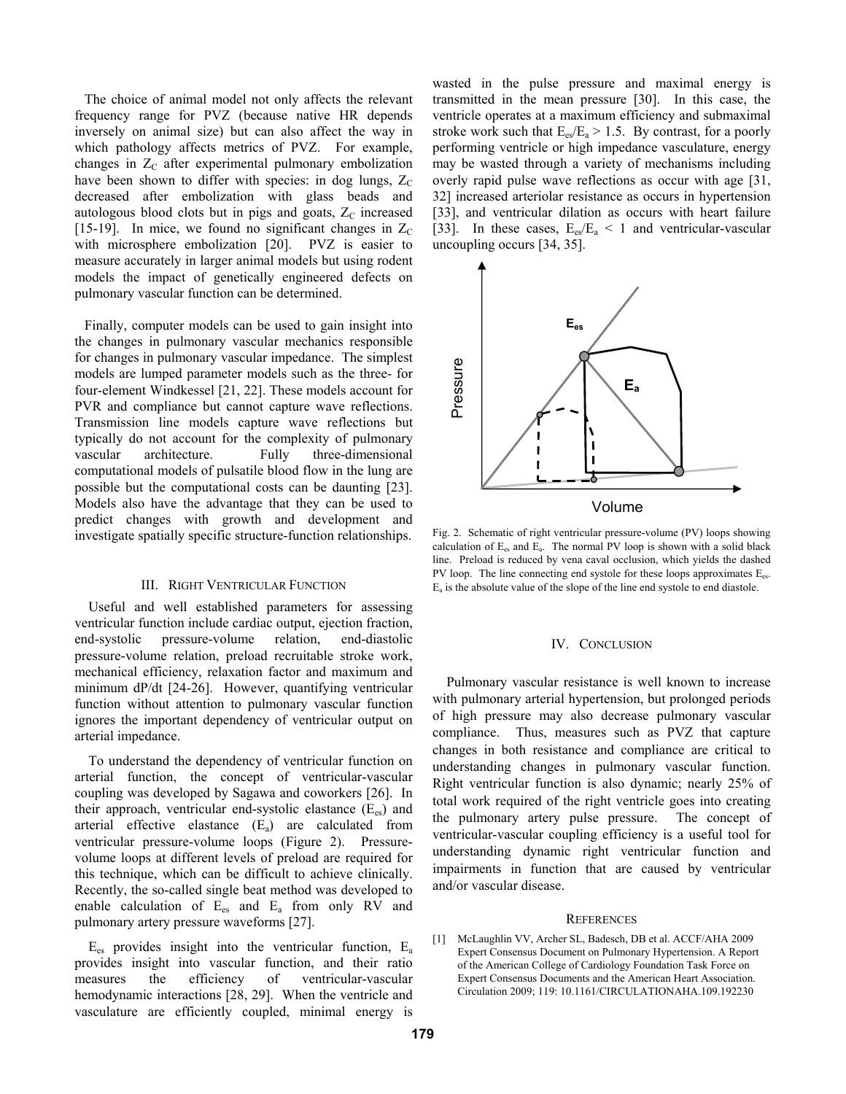The choice of animal model not only affects the relevant frequency range for PVZ (because native HR depends inversely on animal size) but can also affect the way in which pathology affects metrics of PVZ. For example, changes in  $Z_c$  after experimental pulmonary embolization have been shown to differ with species: in dog lungs,  $Z_C$ decreased after embolization with glass beads and autologous blood clots but in pigs and goats,  $Z_c$  increased [15-19]. In mice, we found no significant changes in  $Z_c$ with microsphere embolization [20]. PVZ is easier to measure accurately in larger animal models but using rodent models the impact of genetically engineered defects on pulmonary vascular function can be determined.

Finally, computer models can be used to gain insight into the changes in pulmonary vascular mechanics responsible for changes in pulmonary vascular impedance. The simplest models are lumped parameter models such as the three- for four-element Windkessel [21, 22]. These models account for PVR and compliance but cannot capture wave reflections. Transmission line models capture wave reflections but typically do not account for the complexity of pulmonary vascular architecture. Fully three-dimensional computational models of pulsatile blood flow in the lung are possible but the computational costs can be daunting [23]. Models also have the advantage that they can be used to predict changes with growth and development and investigate spatially specific structure-function relationships.

# III. RIGHT VENTRICULAR FUNCTION

Useful and well established parameters for assessing ventricular function include cardiac output, ejection fraction, end-systolic pressure-volume relation, end-diastolic pressure-volume relation, preload recruitable stroke work, mechanical efficiency, relaxation factor and maximum and minimum dP/dt [24-26]. However, quantifying ventricular function without attention to pulmonary vascular function ignores the important dependency of ventricular output on arterial impedance.

To understand the dependency of ventricular function on arterial function, the concept of ventricular-vascular coupling was developed by Sagawa and coworkers [26]. In their approach, ventricular end-systolic elastance  $(E_{\infty})$  and arterial effective elastance  $(E_a)$  are calculated from ventricular pressure-volume loops (Figure 2). Pressurevolume loops at different levels of preload are required for this technique, which can be difficult to achieve clinically. Recently, the so-called single beat method was developed to enable calculation of  $E_{es}$  and  $E_a$  from only RV and pulmonary artery pressure waveforms [27].

 $E_{\rm es}$  provides insight into the ventricular function,  $E_{\rm a}$ provides insight into vascular function, and their ratio measures the efficiency of ventricular-vascular hemodynamic interactions [28, 29]. When the ventricle and vasculature are efficiently coupled, minimal energy is

wasted in the pulse pressure and maximal energy is transmitted in the mean pressure [30]. In this case, the ventricle operates at a maximum efficiency and submaximal stroke work such that  $E_{es}/E_a > 1.5$ . By contrast, for a poorly performing ventricle or high impedance vasculature, energy may be wasted through a variety of mechanisms including overly rapid pulse wave reflections as occur with age [31, 32] increased arteriolar resistance as occurs in hypertension [33], and ventricular dilation as occurs with heart failure [33]. In these cases,  $E_{es}/E_a < 1$  and ventricular-vascular uncoupling occurs [34, 35].



Fig. 2. Schematic of right ventricular pressure-volume (PV) loops showing calculation of  $E_{es}$  and  $E_a$ . The normal PV loop is shown with a solid black line. Preload is reduced by vena caval occlusion, which yields the dashed PV loop. The line connecting end systole for these loops approximates  $E_{es}$ .  $E<sub>a</sub>$  is the absolute value of the slope of the line end systole to end diastole.

## IV. CONCLUSION

Pulmonary vascular resistance is well known to increase with pulmonary arterial hypertension, but prolonged periods of high pressure may also decrease pulmonary vascular compliance. Thus, measures such as PVZ that capture changes in both resistance and compliance are critical to understanding changes in pulmonary vascular function. Right ventricular function is also dynamic; nearly 25% of total work required of the right ventricle goes into creating the pulmonary artery pulse pressure. The concept of ventricular-vascular coupling efficiency is a useful tool for understanding dynamic right ventricular function and impairments in function that are caused by ventricular and/or vascular disease.

#### **REFERENCES**

[1] McLaughlin VV, Archer SL, Badesch, DB et al. ACCF/AHA 2009 Expert Consensus Document on Pulmonary Hypertension. A Report of the American College of Cardiology Foundation Task Force on Expert Consensus Documents and the American Heart Association. Circulation 2009; 119: 10.1161/CIRCULATIONAHA.109.192230